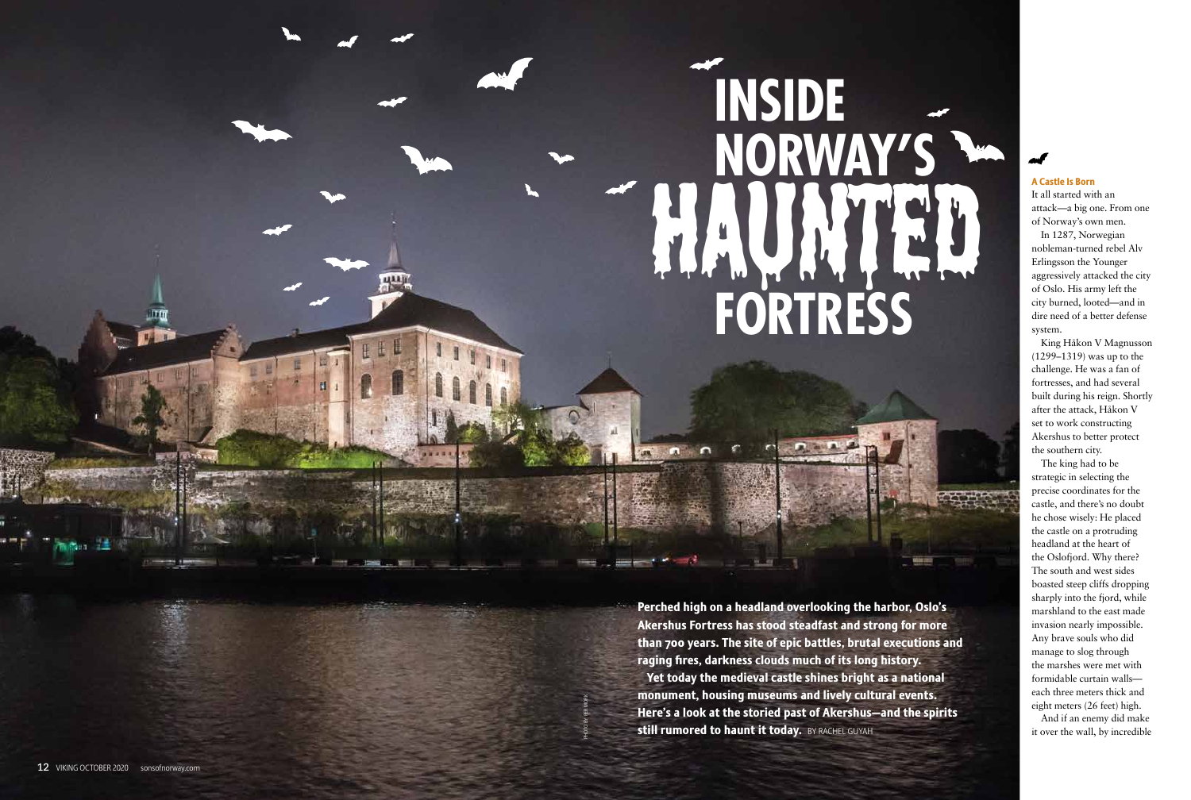### A Castle Is Born

It all started with an attack—a big one. From one of Norway's own men.

In 1287, Norwegian nobleman-turned rebel Alv Erlingsson the Younger aggressively attacked the city of Oslo. His army left the city burned, looted—and in dire need of a better defense system.

King Håkon V Magnusson (1299–1319) was up to the challenge. He was a fan of fortresses, and had several built during his reign. Shortly after the attack, Håkon V set to work constructing Akershus to better protect the southern city.

Perched high on a headland overlooking the harbor, Oslo's Akershus Fortress has stood steadfast and strong for more than 700 years. The site of epic battles, brutal executions and raging fires, darkness clouds much of its long history. Yet today the medieval castle shines bright as a national monument, housing museums and lively cultural events. Here's a look at the storied past of Akershus—and the spirits still rumored to haunt it today. BY RACHEL GUYAH

# **FORTRESS INSIDE NORWAY'S** Haunted Barb

The king had to be strategic in selecting the precise coordinates for the castle, and there's no doubt he chose wisely: He placed the castle on a protruding headland at the heart of the Oslofjord. Why there? The south and west sides boasted steep cliffs dropping sharply into the fjord, while marshland to the east made invasion nearly impossible. Any brave souls who did manage to slog through the marshes were met with formidable curtain walls each three meters thick and eight meters (26 feet) high.

And if an enemy did make it over the wall, by incredible

PHOTO BY PER MORK

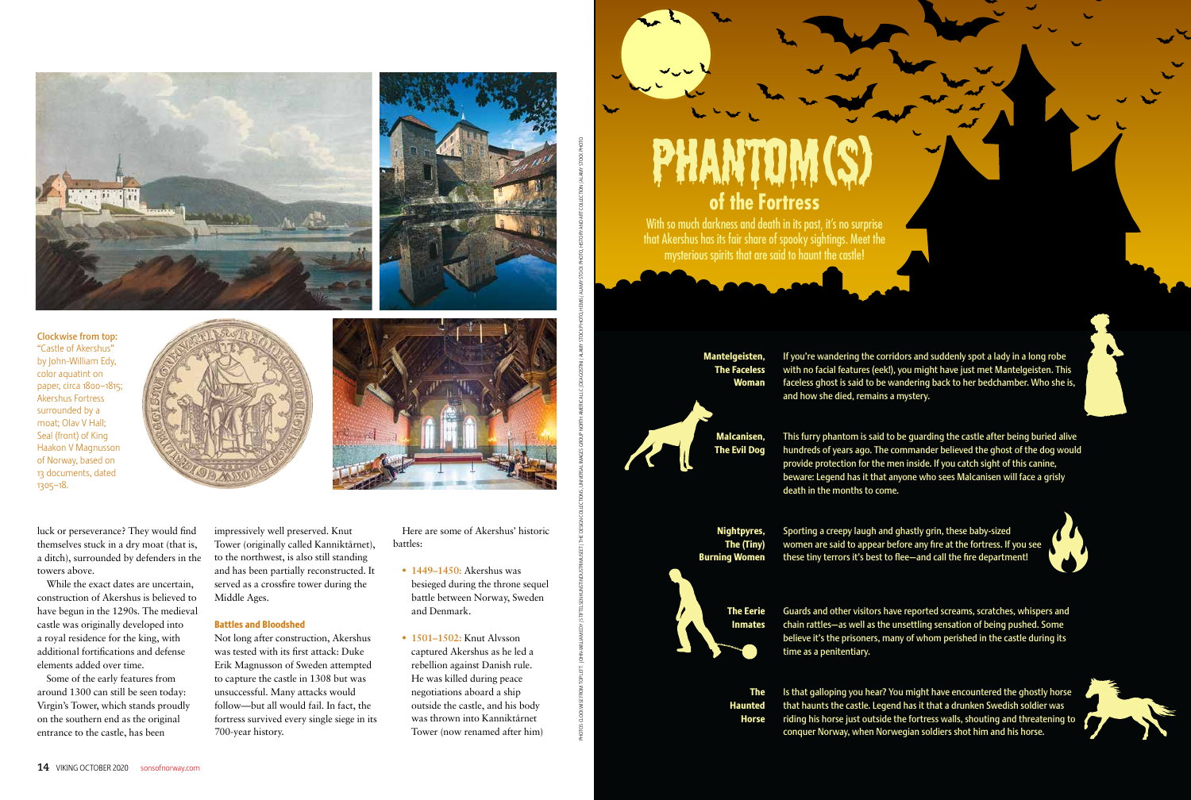luck or perseverance? They would find themselves stuck in a dry moat (that is, a ditch), surrounded by defenders in the towers above.

While the exact dates are uncertain, construction of Akershus is believed to have begun in the 1290s. The medieval castle was originally developed into a royal residence for the king, with additional fortifications and defense elements added over time.

Some of the early features from around 1300 can still be seen today: Virgin's Tower, which stands proudly on the southern end as the original entrance to the castle, has been

impressively well preserved. Knut Tower (originally called Kanniktårnet), to the northwest, is also still standing and has been partially reconstructed. It served as a crossfire tower during the Middle Ages.

With so much darkness and death in its past, it's no surprise that Akershus has its fair share of spooky sightings. Meet the mysterious spirits that are said to haunt the castle!

#### Battles and Bloodshed

Not long after construction, Akershus was tested with its first attack: Duke Erik Magnusson of Sweden attempted to capture the castle in 1308 but was unsuccessful. Many attacks would follow—but all would fail. In fact, the fortress survived every single siege in its 700-year history.

Here are some of Akershus' historic battles:

- **1449–1450:** Akershus was besieged during the throne sequel battle between Norway, Sweden and Denmark.
- **1501–1502:** Knut Alvsson captured Akershus as he led a rebellion against Danish rule. He was killed during peace negotiations aboard a ship outside the castle, and his body was thrown into Kanniktårnet Tower (now renamed after him)

PHOTOS CLOCKWISTER: ICHNAM EDY |STIFIELSEN INDUSTER|THE DESIGN CLOCKWISTERS4LIM/AGRISTIN|AGANGSCHWA STOCK PHOTO, HEMIS/ALAMY STOCK PHOTO, AND MIS/ADANY STOCK PHOTO, AND MIS/ADANY STOCK PHOTO, AND MIS/ADANY STOCK PHOTO, AND





Clockwise from top: "Castle of Akershus" by John-William Edy, color aquatint on paper, circa 1800–1815; Akershus Fortress surrounded by a moat; Olav V Hall; Seal (front) of King Haakon V Magnusson of Norway, based on 13 documents, dated 1305–18.



**of the Fortress** Phantom(s)

Mantelgeisten,

If you're wandering the corridors and suddenly spot a lady in a long robe with no facial features (eek!), you might have just met Mantelgeisten. This faceless ghost is said to be wandering back to her bedchamber. Who she is, and how she died, remains a mystery.

The Faceless Woman Malcanisen, The Evil Dog





provide protection for the men inside. If you catch sight of this canine, beware: Legend has it that anyone who sees Malcanisen will face a grisly death in the months to come.

Nightpyres, The (Tiny) Burning Women

Sporting a creepy laugh and ghastly grin, these baby-sized women are said to appear before any fire at the fortress. If you see these tiny terrors it's best to flee—and call the fire department!

The Eerie Inmates Guards and other visitors have reported screams, scratches, whispers and chain rattles—as well as the unsettling sensation of being pushed. Some believe it's the prisoners, many of whom perished in the castle during its time as a penitentiary.

The Haunted Horse Is that galloping you hear? You might have encountered the ghostly horse riding his horse just outside the fortress walls, shouting and threatening to



that haunts the castle. Legend has it that a drunken Swedish soldier was conquer Norway, when Norwegian soldiers shot him and his horse.

**14** VIKING OCTOBER 2020 sonsofnorway.com